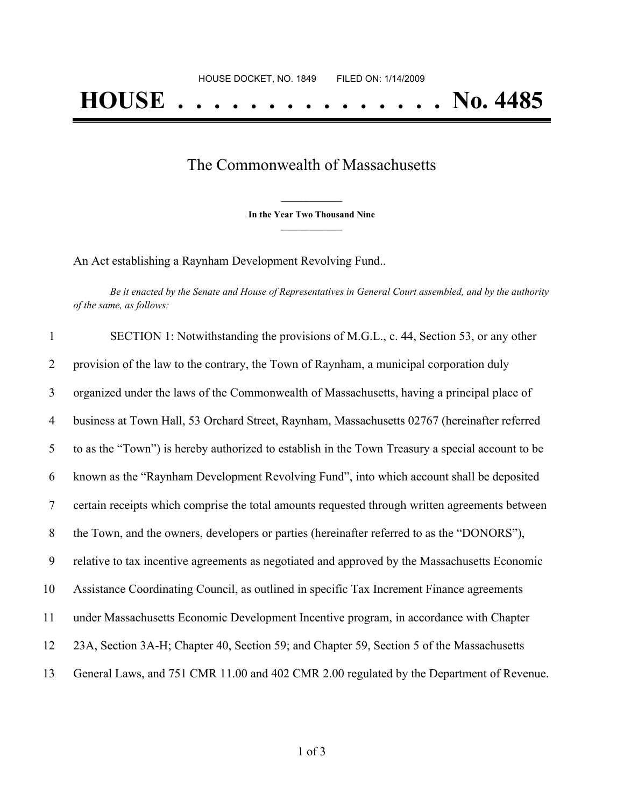## The Commonwealth of Massachusetts

**\_\_\_\_\_\_\_\_\_\_\_\_\_\_\_ In the Year Two Thousand Nine \_\_\_\_\_\_\_\_\_\_\_\_\_\_\_**

An Act establishing a Raynham Development Revolving Fund..

Be it enacted by the Senate and House of Representatives in General Court assembled, and by the authority *of the same, as follows:*

| $\mathbf{1}$   | SECTION 1: Notwithstanding the provisions of M.G.L., c. 44, Section 53, or any other             |
|----------------|--------------------------------------------------------------------------------------------------|
| 2              | provision of the law to the contrary, the Town of Raynham, a municipal corporation duly          |
| 3              | organized under the laws of the Commonwealth of Massachusetts, having a principal place of       |
| $\overline{4}$ | business at Town Hall, 53 Orchard Street, Raynham, Massachusetts 02767 (hereinafter referred     |
| 5              | to as the "Town") is hereby authorized to establish in the Town Treasury a special account to be |
| 6              | known as the "Raynham Development Revolving Fund", into which account shall be deposited         |
| 7              | certain receipts which comprise the total amounts requested through written agreements between   |
| 8              | the Town, and the owners, developers or parties (hereinafter referred to as the "DONORS"),       |
| 9              | relative to tax incentive agreements as negotiated and approved by the Massachusetts Economic    |
| 10             | Assistance Coordinating Council, as outlined in specific Tax Increment Finance agreements        |
| 11             | under Massachusetts Economic Development Incentive program, in accordance with Chapter           |
| 12             | 23A, Section 3A-H; Chapter 40, Section 59; and Chapter 59, Section 5 of the Massachusetts        |
| 13             | General Laws, and 751 CMR 11.00 and 402 CMR 2.00 regulated by the Department of Revenue.         |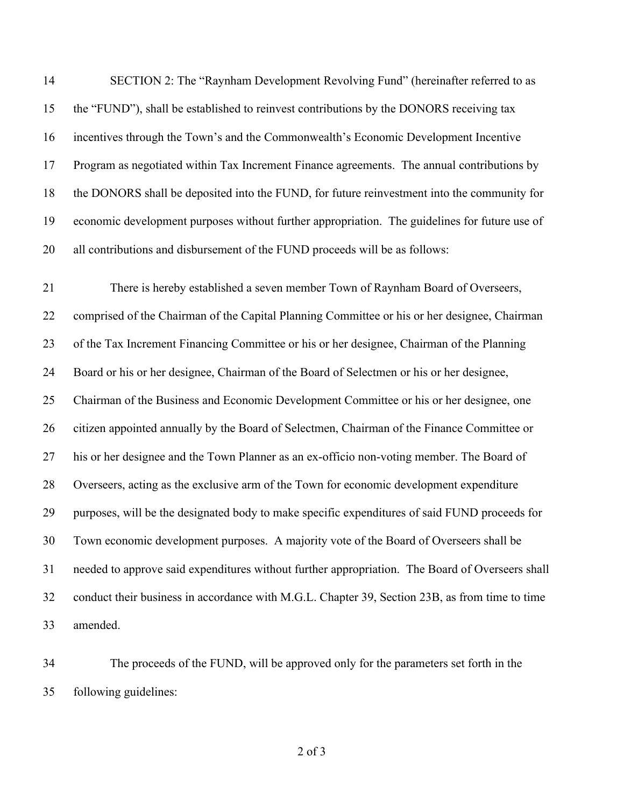SECTION 2: The "Raynham Development Revolving Fund" (hereinafter referred to as the "FUND"), shall be established to reinvest contributions by the DONORS receiving tax incentives through the Town's and the Commonwealth's Economic Development Incentive Program as negotiated within Tax Increment Finance agreements. The annual contributions by the DONORS shall be deposited into the FUND, for future reinvestment into the community for economic development purposes without further appropriation. The guidelines for future use of all contributions and disbursement of the FUND proceeds will be as follows:

 There is hereby established a seven member Town of Raynham Board of Overseers, comprised of the Chairman of the Capital Planning Committee or his or her designee, Chairman of the Tax Increment Financing Committee or his or her designee, Chairman of the Planning Board or his or her designee, Chairman of the Board of Selectmen or his or her designee, Chairman of the Business and Economic Development Committee or his or her designee, one citizen appointed annually by the Board of Selectmen, Chairman of the Finance Committee or his or her designee and the Town Planner as an ex-officio non-voting member. The Board of Overseers, acting as the exclusive arm of the Town for economic development expenditure purposes, will be the designated body to make specific expenditures of said FUND proceeds for Town economic development purposes. A majority vote of the Board of Overseers shall be needed to approve said expenditures without further appropriation. The Board of Overseers shall conduct their business in accordance with M.G.L. Chapter 39, Section 23B, as from time to time amended.

 The proceeds of the FUND, will be approved only for the parameters set forth in the following guidelines:

of 3